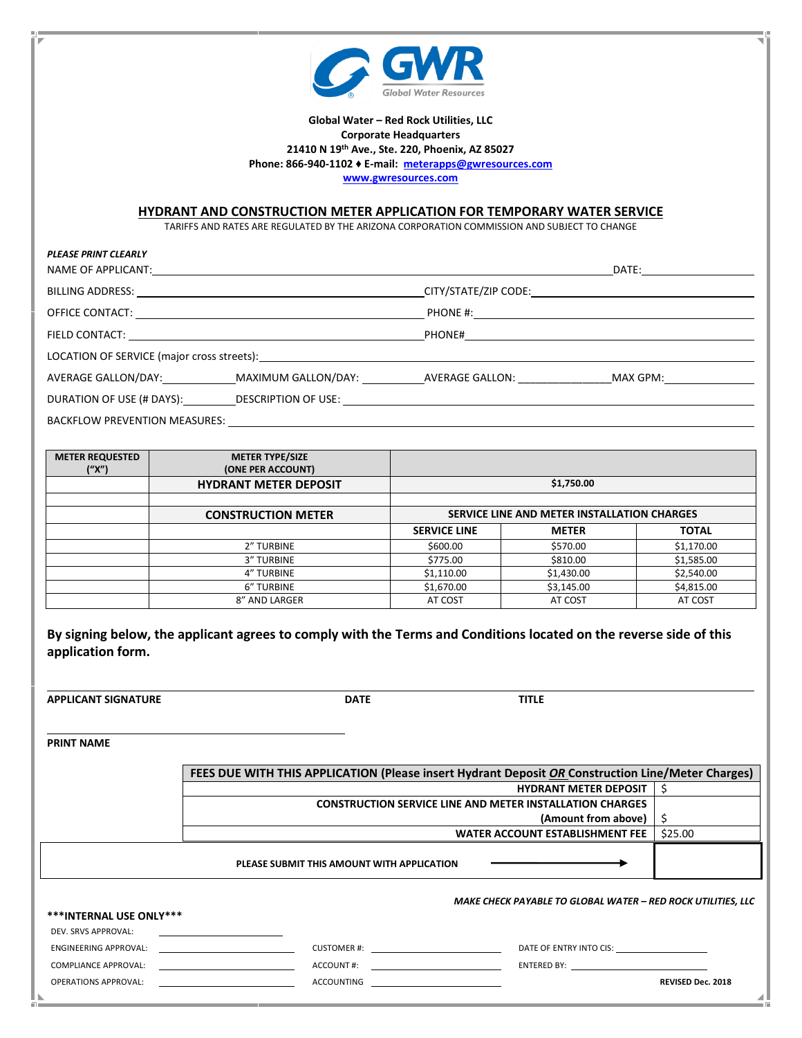

## **Global Water – Red Rock Utilities, LLC Corporate Headquarters 21410 N 19th Ave., Ste. 220, Phoenix, AZ 85027 Phone: 866-940-1102 ♦ E-mail: [meterapps@gwresources.com](mailto:meterapps@gwresources.com) [www.gwresources.com](http://www.gwresources.com/)**

**HYDRANT AND CONSTRUCTION METER APPLICATION FOR TEMPORARY WATER SERVICE**

TARIFFS AND RATES ARE REGULATED BY THE ARIZONA CORPORATION COMMISSION AND SUBJECT TO CHANGE

| PLEASE PRINT CLEARLY                                                                                                                                                                                                           | NAME OF APPLICANT: And the contract of the contract of the contract of the contract of the contract of the contract of the contract of the contract of the contract of the contract of the contract of the contract of the con |  | DATE:_____ <b>__________________</b> ___ |  |  |
|--------------------------------------------------------------------------------------------------------------------------------------------------------------------------------------------------------------------------------|--------------------------------------------------------------------------------------------------------------------------------------------------------------------------------------------------------------------------------|--|------------------------------------------|--|--|
|                                                                                                                                                                                                                                |                                                                                                                                                                                                                                |  |                                          |  |  |
|                                                                                                                                                                                                                                |                                                                                                                                                                                                                                |  |                                          |  |  |
|                                                                                                                                                                                                                                |                                                                                                                                                                                                                                |  |                                          |  |  |
| LOCATION OF SERVICE (major cross streets): Notified that the state of the state of the state of the state of the state of the state of the state of the state of the state of the state of the state of the state of the state |                                                                                                                                                                                                                                |  |                                          |  |  |
|                                                                                                                                                                                                                                | AVERAGE GALLON/DAY: MAXIMUM GALLON/DAY: AVERAGE GALLON: MAX GPM:                                                                                                                                                               |  |                                          |  |  |
|                                                                                                                                                                                                                                |                                                                                                                                                                                                                                |  |                                          |  |  |
| <b>BACKFLOW PREVENTION MEASURES:</b>                                                                                                                                                                                           |                                                                                                                                                                                                                                |  |                                          |  |  |

| <b>METER REQUESTED</b><br>("X") | <b>METER TYPE/SIZE</b><br>(ONE PER ACCOUNT) |                                             |              |              |
|---------------------------------|---------------------------------------------|---------------------------------------------|--------------|--------------|
|                                 | <b>HYDRANT METER DEPOSIT</b>                | \$1,750.00                                  |              |              |
|                                 |                                             |                                             |              |              |
|                                 | <b>CONSTRUCTION METER</b>                   | SERVICE LINE AND METER INSTALLATION CHARGES |              |              |
|                                 |                                             | <b>SERVICE LINE</b>                         | <b>METER</b> | <b>TOTAL</b> |
|                                 | 2" TURBINE                                  | \$600.00                                    | \$570.00     | \$1,170.00   |
|                                 | <b>3" TURBINE</b>                           | \$775.00                                    | \$810.00     | \$1,585.00   |
|                                 | <b>4" TURBINE</b>                           | \$1,110.00                                  | \$1,430.00   | \$2,540.00   |
|                                 | 6" TURBINE                                  | \$1,670.00                                  | \$3,145.00   | \$4,815.00   |
|                                 | 8" AND LARGER                               | AT COST                                     | AT COST      | AT COST      |

|                   |  |  | By signing below, the applicant agrees to comply with the Terms and Conditions located on the reverse side of this |
|-------------------|--|--|--------------------------------------------------------------------------------------------------------------------|
| application form. |  |  |                                                                                                                    |

**APPLICANT SIGNATURE DATE TITLE**

*PLEASE PRINT CLEARLY* 

**PRINT NAME**

|                             | <b>FEES DUE WITH THIS APPLICATION (Please insert Hydrant Deposit OR Construction Line/Meter Charges)</b> |                                                                                                                                                                                                                                |         |  |
|-----------------------------|----------------------------------------------------------------------------------------------------------|--------------------------------------------------------------------------------------------------------------------------------------------------------------------------------------------------------------------------------|---------|--|
|                             |                                                                                                          | <b>HYDRANT METER DEPOSIT</b>                                                                                                                                                                                                   |         |  |
|                             |                                                                                                          | <b>CONSTRUCTION SERVICE LINE AND METER INSTALLATION CHARGES</b>                                                                                                                                                                |         |  |
|                             |                                                                                                          | (Amount from above)                                                                                                                                                                                                            |         |  |
|                             |                                                                                                          | WATER ACCOUNT ESTABLISHMENT FEE                                                                                                                                                                                                | \$25.00 |  |
|                             | PLEASE SUBMIT THIS AMOUNT WITH APPLICATION                                                               |                                                                                                                                                                                                                                |         |  |
|                             |                                                                                                          | MAKE CHECK PAYABLE TO GLOBAL WATER - RED ROCK UTILITIES, LLC                                                                                                                                                                   |         |  |
| ***INTERNAL USE ONLY***     |                                                                                                          |                                                                                                                                                                                                                                |         |  |
| DEV. SRVS APPROVAL:         |                                                                                                          |                                                                                                                                                                                                                                |         |  |
| ENGINEERING APPROVAL:       | CUSTOMER #: 2000 CUSTOMER #:                                                                             | DATE OF ENTRY INTO CIS: DATE OF ENTRY INTO CIS:                                                                                                                                                                                |         |  |
| <b>COMPLIANCE APPROVAL:</b> | ACCOUNT#:                                                                                                | ENTERED BY: The contract of the contract of the contract of the contract of the contract of the contract of the contract of the contract of the contract of the contract of the contract of the contract of the contract of th |         |  |

OPERATIONS APPROVAL: **ACCOUNTING ACCOUNTING ACCOUNTING ACCOUNTING ACCOUNTING ACCOUNTING ACCOUNTING ACCOUNTING ACCOUNTING ACCOUNTING ACCOUNTING ACCOUNTING ACCOUNTING ACCOUNTING ACCOUNTING ACCOUNTING ACCOUNTING ACCOUNTING AC**